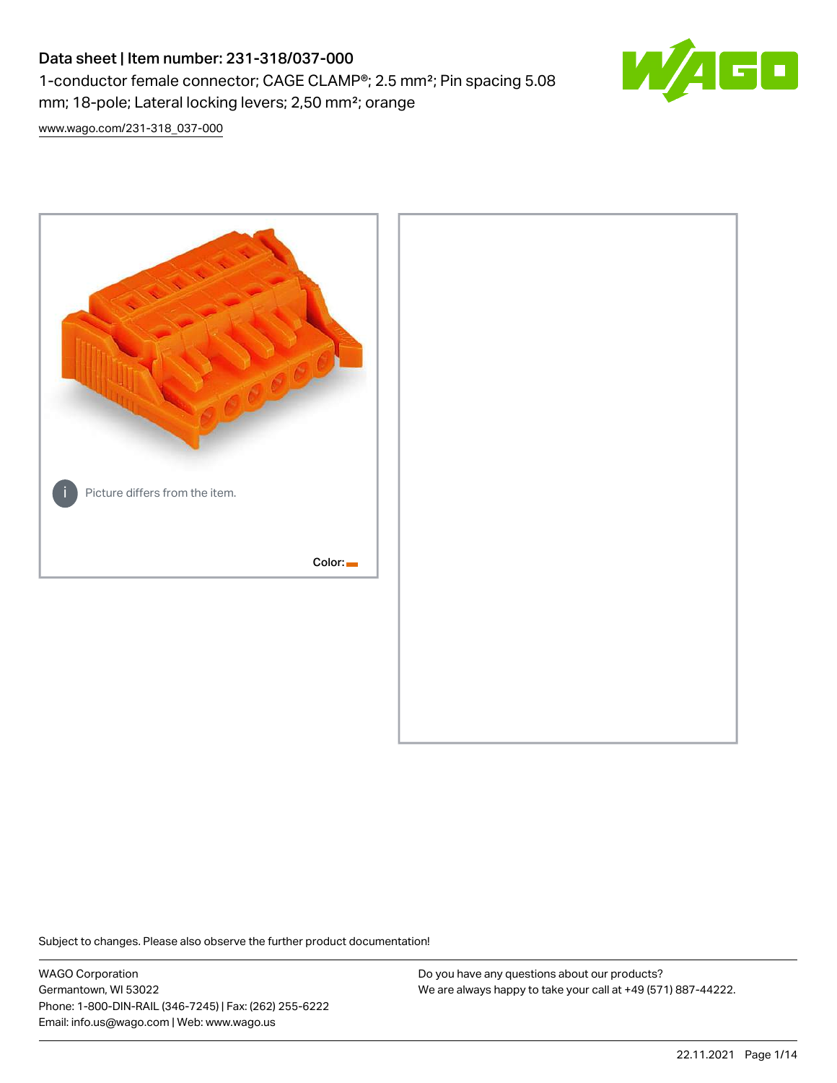# Data sheet | Item number: 231-318/037-000 1-conductor female connector; CAGE CLAMP®; 2.5 mm²; Pin spacing 5.08 mm; 18-pole; Lateral locking levers; 2,50 mm²; orange



[www.wago.com/231-318\\_037-000](http://www.wago.com/231-318_037-000)



Subject to changes. Please also observe the further product documentation!

WAGO Corporation Germantown, WI 53022 Phone: 1-800-DIN-RAIL (346-7245) | Fax: (262) 255-6222 Email: info.us@wago.com | Web: www.wago.us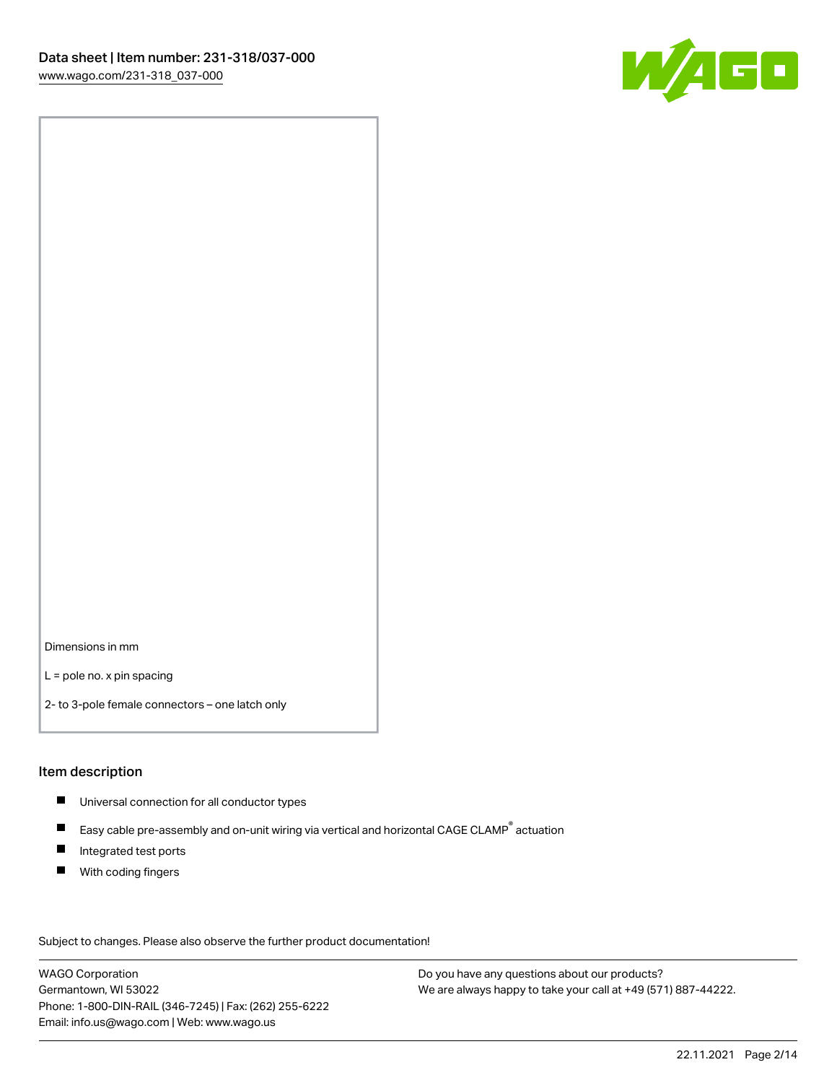

Dimensions in mm

L = pole no. x pin spacing

2- to 3-pole female connectors – one latch only

#### Item description

- **Universal connection for all conductor types**
- Easy cable pre-assembly and on-unit wiring via vertical and horizontal CAGE CLAMP<sup>®</sup> actuation  $\blacksquare$
- $\blacksquare$ Integrated test ports
- $\blacksquare$ With coding fingers

Subject to changes. Please also observe the further product documentation! Data

WAGO Corporation Germantown, WI 53022 Phone: 1-800-DIN-RAIL (346-7245) | Fax: (262) 255-6222 Email: info.us@wago.com | Web: www.wago.us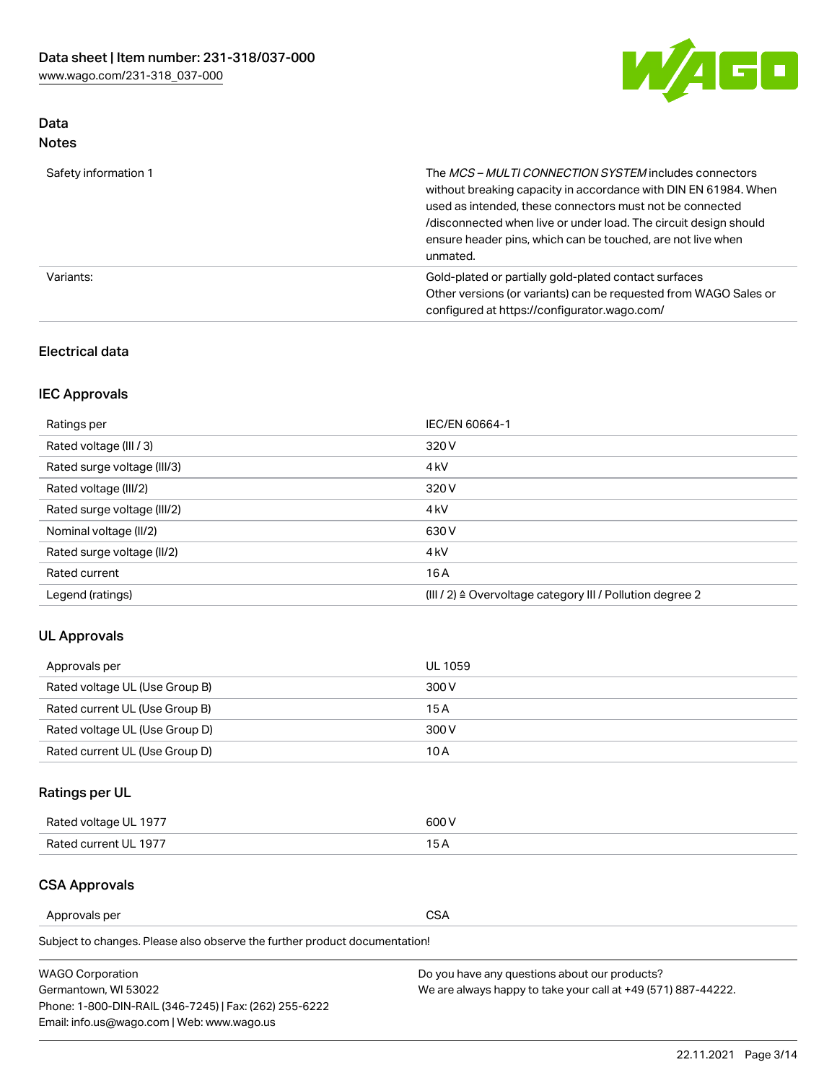

## Data Notes

| Safety information 1 | The MCS-MULTI CONNECTION SYSTEM includes connectors<br>without breaking capacity in accordance with DIN EN 61984. When<br>used as intended, these connectors must not be connected<br>/disconnected when live or under load. The circuit design should<br>ensure header pins, which can be touched, are not live when<br>unmated. |
|----------------------|-----------------------------------------------------------------------------------------------------------------------------------------------------------------------------------------------------------------------------------------------------------------------------------------------------------------------------------|
| Variants:            | Gold-plated or partially gold-plated contact surfaces<br>Other versions (or variants) can be requested from WAGO Sales or<br>configured at https://configurator.wago.com/                                                                                                                                                         |

#### Electrical data

## IEC Approvals

| Ratings per                 | IEC/EN 60664-1                                                        |
|-----------------------------|-----------------------------------------------------------------------|
| Rated voltage (III / 3)     | 320 V                                                                 |
| Rated surge voltage (III/3) | 4 <sub>k</sub> V                                                      |
| Rated voltage (III/2)       | 320 V                                                                 |
| Rated surge voltage (III/2) | 4 <sub>k</sub> V                                                      |
| Nominal voltage (II/2)      | 630 V                                                                 |
| Rated surge voltage (II/2)  | 4 <sub>k</sub> V                                                      |
| Rated current               | 16A                                                                   |
| Legend (ratings)            | $(III / 2)$ $\triangle$ Overvoltage category III / Pollution degree 2 |

#### UL Approvals

| Approvals per                  | UL 1059 |
|--------------------------------|---------|
| Rated voltage UL (Use Group B) | 300 V   |
| Rated current UL (Use Group B) | 15 A    |
| Rated voltage UL (Use Group D) | 300 V   |
| Rated current UL (Use Group D) | 10 A    |

# Ratings per UL

| Rated voltage UL 1977 | 300 V |
|-----------------------|-------|
| Rated current UL 1977 |       |

## CSA Approvals

Approvals per CSA

Subject to changes. Please also observe the further product documentation!

| <b>WAGO Corporation</b>                                | Do you have any questions about our products?                 |
|--------------------------------------------------------|---------------------------------------------------------------|
| Germantown, WI 53022                                   | We are always happy to take your call at +49 (571) 887-44222. |
| Phone: 1-800-DIN-RAIL (346-7245)   Fax: (262) 255-6222 |                                                               |
| Email: info.us@wago.com   Web: www.wago.us             |                                                               |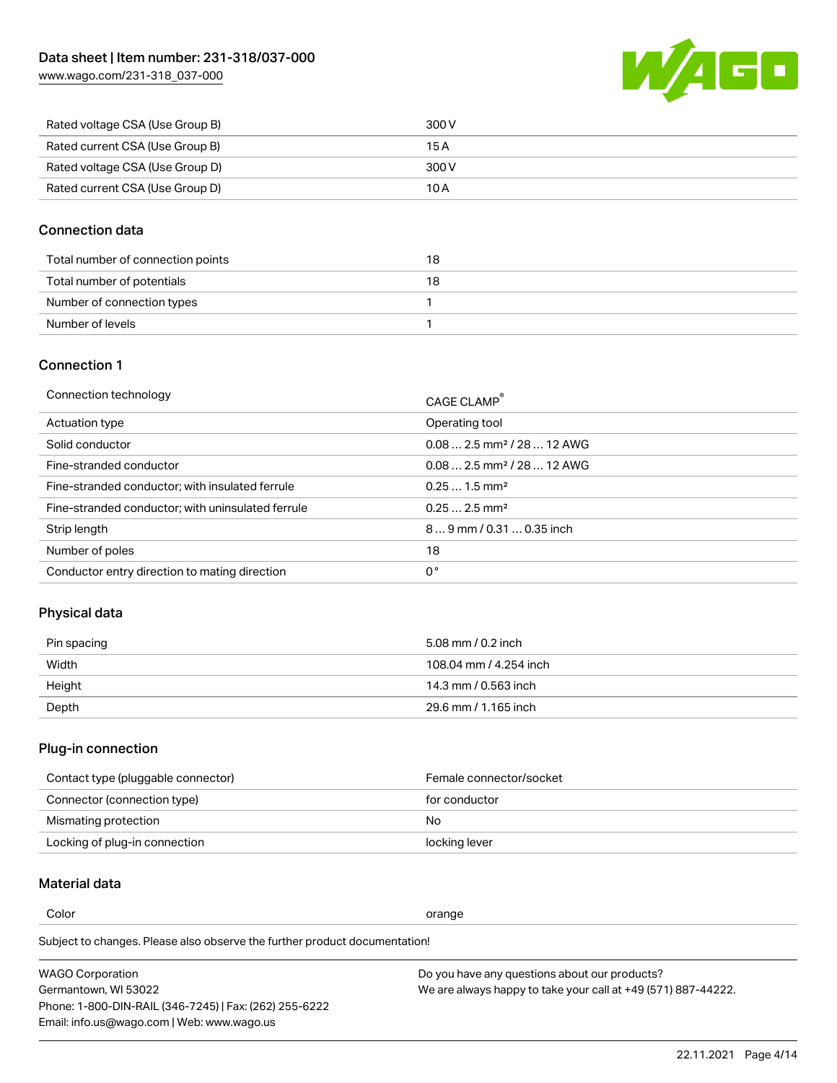[www.wago.com/231-318\\_037-000](http://www.wago.com/231-318_037-000)



| Rated voltage CSA (Use Group B) | 300 V |
|---------------------------------|-------|
| Rated current CSA (Use Group B) | 15 A  |
| Rated voltage CSA (Use Group D) | 300 V |
| Rated current CSA (Use Group D) | 10 A  |

#### Connection data

| Total number of connection points | 18 |
|-----------------------------------|----|
| Total number of potentials        | 18 |
| Number of connection types        |    |
| Number of levels                  |    |

## Connection 1

| Connection technology                             | CAGE CLAMP®                             |
|---------------------------------------------------|-----------------------------------------|
| Actuation type                                    | Operating tool                          |
| Solid conductor                                   | $0.08$ 2.5 mm <sup>2</sup> / 28  12 AWG |
| Fine-stranded conductor                           | $0.082.5$ mm <sup>2</sup> / 28  12 AWG  |
| Fine-stranded conductor; with insulated ferrule   | $0.251.5$ mm <sup>2</sup>               |
| Fine-stranded conductor; with uninsulated ferrule | $0.252.5$ mm <sup>2</sup>               |
| Strip length                                      | $89$ mm / 0.31  0.35 inch               |
| Number of poles                                   | 18                                      |
| Conductor entry direction to mating direction     | 0°                                      |
|                                                   |                                         |

#### Physical data

| Pin spacing | 5.08 mm / 0.2 inch     |
|-------------|------------------------|
| Width       | 108.04 mm / 4.254 inch |
| Height      | 14.3 mm / 0.563 inch   |
| Depth       | 29.6 mm / 1.165 inch   |

# Plug-in connection

| Contact type (pluggable connector) | Female connector/socket |
|------------------------------------|-------------------------|
| Connector (connection type)        | for conductor           |
| Mismating protection               | No                      |
| Locking of plug-in connection      | locking lever           |

### Material data

Color contracts and contracts of the contracts of the contracts of the contracts of the contracts of the contracts of the contracts of the contracts of the contracts of the contracts of the contracts of the contracts of th

Subject to changes. Please also observe the further product documentation! Material group I

| <b>WAGO Corporation</b>                                | Do you have any questions about our products?                 |
|--------------------------------------------------------|---------------------------------------------------------------|
| Germantown, WI 53022                                   | We are always happy to take your call at +49 (571) 887-44222. |
| Phone: 1-800-DIN-RAIL (346-7245)   Fax: (262) 255-6222 |                                                               |
| Email: info.us@wago.com   Web: www.wago.us             |                                                               |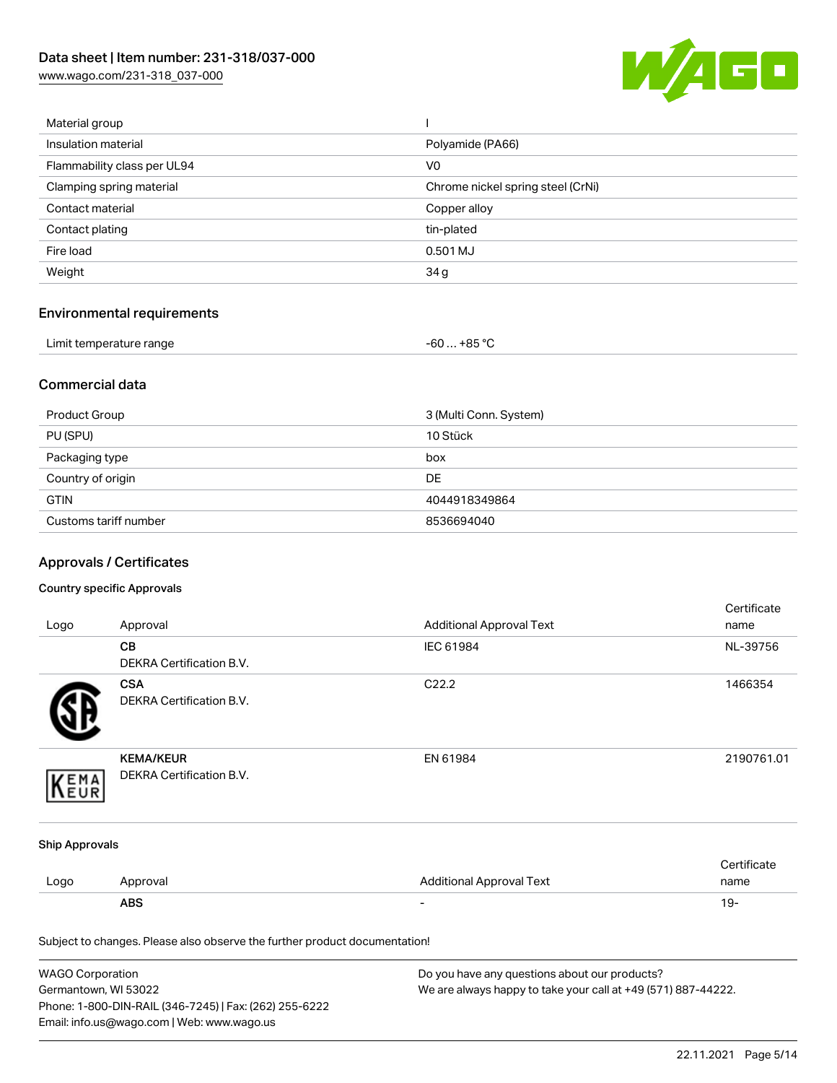[www.wago.com/231-318\\_037-000](http://www.wago.com/231-318_037-000)



| Material group              |                                   |
|-----------------------------|-----------------------------------|
| Insulation material         | Polyamide (PA66)                  |
| Flammability class per UL94 | V <sub>0</sub>                    |
| Clamping spring material    | Chrome nickel spring steel (CrNi) |
| Contact material            | Copper alloy                      |
| Contact plating             | tin-plated                        |
| Fire load                   | 0.501 MJ                          |
| Weight                      | 34 g                              |
|                             |                                   |

# Environmental requirements

| Limit temperature range | -60  +85 °Ր |
|-------------------------|-------------|
|-------------------------|-------------|

#### Commercial data

| Product Group         | 3 (Multi Conn. System) |
|-----------------------|------------------------|
| PU (SPU)              | 10 Stück               |
| Packaging type        | box                    |
| Country of origin     | <b>DE</b>              |
| <b>GTIN</b>           | 4044918349864          |
| Customs tariff number | 8536694040             |

# Approvals / Certificates

#### Country specific Approvals

| Logo                  | Approval                                                                   | <b>Additional Approval Text</b> | Certificate<br>name |
|-----------------------|----------------------------------------------------------------------------|---------------------------------|---------------------|
|                       | CВ<br>DEKRA Certification B.V.                                             | IEC 61984                       | NL-39756            |
|                       | <b>CSA</b><br><b>DEKRA Certification B.V.</b>                              | C22.2                           | 1466354             |
| EMA                   | <b>KEMA/KEUR</b><br>DEKRA Certification B.V.                               | EN 61984                        | 2190761.01          |
| <b>Ship Approvals</b> |                                                                            |                                 |                     |
| Logo                  | Approval                                                                   | <b>Additional Approval Text</b> | Certificate<br>name |
|                       | <b>ABS</b>                                                                 |                                 | $19 -$              |
|                       | Subject to changes. Please also observe the further product documentation! |                                 |                     |

| WAGO Corporation                                       | Do you have any questions about our products?                 |
|--------------------------------------------------------|---------------------------------------------------------------|
| Germantown, WI 53022                                   | We are always happy to take your call at +49 (571) 887-44222. |
| Phone: 1-800-DIN-RAIL (346-7245)   Fax: (262) 255-6222 |                                                               |
| Email: info.us@wago.com   Web: www.wago.us             |                                                               |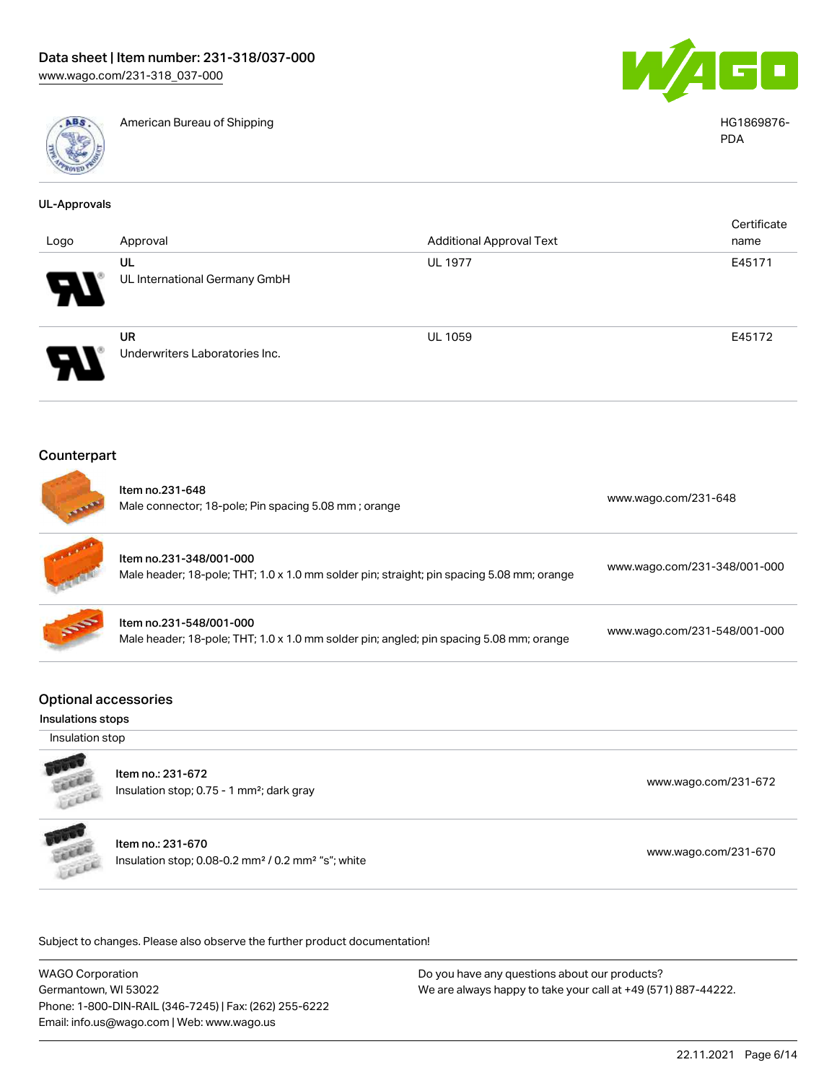

American Bureau of Shipping HG1869876-



PDA

| <b>UL-Approvals</b>                              |                                                                                                                      |                                 |                              |
|--------------------------------------------------|----------------------------------------------------------------------------------------------------------------------|---------------------------------|------------------------------|
|                                                  |                                                                                                                      |                                 | Certificate                  |
| Logo                                             | Approval                                                                                                             | <b>Additional Approval Text</b> | name                         |
|                                                  | UL<br>UL International Germany GmbH                                                                                  | <b>UL 1977</b>                  | E45171                       |
|                                                  | <b>UR</b><br>Underwriters Laboratories Inc.                                                                          | UL 1059                         | E45172                       |
| Counterpart                                      |                                                                                                                      |                                 |                              |
|                                                  | Item no.231-648<br>Male connector; 18-pole; Pin spacing 5.08 mm; orange                                              |                                 | www.wago.com/231-648         |
|                                                  | Item no.231-348/001-000<br>Male header; 18-pole; THT; 1.0 x 1.0 mm solder pin; straight; pin spacing 5.08 mm; orange |                                 | www.wago.com/231-348/001-000 |
|                                                  | Item no.231-548/001-000<br>Male header; 18-pole; THT; 1.0 x 1.0 mm solder pin; angled; pin spacing 5.08 mm; orange   |                                 | www.wago.com/231-548/001-000 |
| <b>Optional accessories</b><br>Insulations stops |                                                                                                                      |                                 |                              |
| Insulation stop                                  |                                                                                                                      |                                 |                              |
| LEEEE                                            | Item no.: 231-672<br>Insulation stop; 0.75 - 1 mm <sup>2</sup> ; dark gray                                           |                                 | www.wago.com/231-672         |
| <b>COLOR</b>                                     | Item no.: 231-670<br>Insulation stop; 0.08-0.2 mm <sup>2</sup> / 0.2 mm <sup>2</sup> "s"; white                      |                                 | www.wago.com/231-670         |
|                                                  |                                                                                                                      |                                 |                              |

Subject to changes. Please also observe the further product documentation!

WAGO Corporation Germantown, WI 53022 Phone: 1-800-DIN-RAIL (346-7245) | Fax: (262) 255-6222 Email: info.us@wago.com | Web: www.wago.us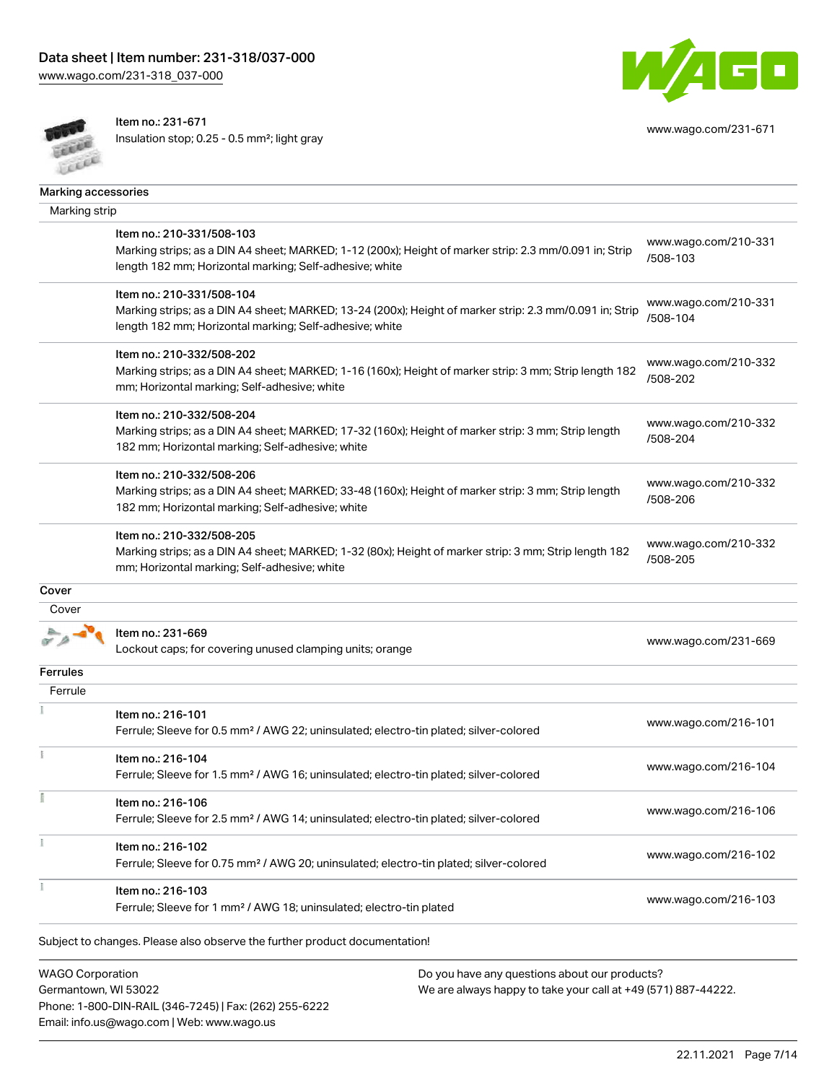[www.wago.com/231-318\\_037-000](http://www.wago.com/231-318_037-000)



Item no.: 231-671

Insulation stop; 0.25 - 0.5 mm²; light gray



[www.wago.com/231-671](http://www.wago.com/231-671)

| Marking strip |                                                                                                         |                                  |
|---------------|---------------------------------------------------------------------------------------------------------|----------------------------------|
|               | Item no.: 210-331/508-103                                                                               | www.wago.com/210-331             |
|               | Marking strips; as a DIN A4 sheet; MARKED; 1-12 (200x); Height of marker strip: 2.3 mm/0.091 in; Strip  | /508-103                         |
|               | length 182 mm; Horizontal marking; Self-adhesive; white                                                 |                                  |
|               | Item no.: 210-331/508-104                                                                               |                                  |
|               | Marking strips; as a DIN A4 sheet; MARKED; 13-24 (200x); Height of marker strip: 2.3 mm/0.091 in; Strip | www.wago.com/210-331             |
|               | length 182 mm; Horizontal marking; Self-adhesive; white                                                 | /508-104                         |
|               | Item no.: 210-332/508-202                                                                               |                                  |
|               | Marking strips; as a DIN A4 sheet; MARKED; 1-16 (160x); Height of marker strip: 3 mm; Strip length 182  | www.wago.com/210-332<br>/508-202 |
|               | mm; Horizontal marking; Self-adhesive; white                                                            |                                  |
|               | Item no.: 210-332/508-204                                                                               |                                  |
|               | Marking strips; as a DIN A4 sheet; MARKED; 17-32 (160x); Height of marker strip: 3 mm; Strip length     | www.wago.com/210-332             |
|               | 182 mm; Horizontal marking; Self-adhesive; white                                                        | /508-204                         |
|               | Item no.: 210-332/508-206                                                                               |                                  |
|               | Marking strips; as a DIN A4 sheet; MARKED; 33-48 (160x); Height of marker strip: 3 mm; Strip length     | www.wago.com/210-332<br>/508-206 |
|               | 182 mm; Horizontal marking; Self-adhesive; white                                                        |                                  |
|               | Item no.: 210-332/508-205                                                                               |                                  |
|               | Marking strips; as a DIN A4 sheet; MARKED; 1-32 (80x); Height of marker strip: 3 mm; Strip length 182   | www.wago.com/210-332             |
|               | mm; Horizontal marking; Self-adhesive; white                                                            | /508-205                         |
| Cover         |                                                                                                         |                                  |
| Cover         |                                                                                                         |                                  |
|               | Item no.: 231-669                                                                                       | www.wago.com/231-669             |
|               | Lockout caps; for covering unused clamping units; orange                                                |                                  |
| Ferrules      |                                                                                                         |                                  |
| Ferrule       |                                                                                                         |                                  |
|               | Item no.: 216-101                                                                                       | www.wago.com/216-101             |
|               | Ferrule; Sleeve for 0.5 mm <sup>2</sup> / AWG 22; uninsulated; electro-tin plated; silver-colored       |                                  |
|               | Item no.: 216-104                                                                                       |                                  |
|               | Ferrule; Sleeve for 1.5 mm <sup>2</sup> / AWG 16; uninsulated; electro-tin plated; silver-colored       | www.wago.com/216-104             |
|               | Item no.: 216-106                                                                                       |                                  |
|               | Ferrule; Sleeve for 2.5 mm <sup>2</sup> / AWG 14; uninsulated; electro-tin plated; silver-colored       | www.wago.com/216-106             |
|               | Item no.: 216-102                                                                                       |                                  |
|               | Ferrule; Sleeve for 0.75 mm <sup>2</sup> / AWG 20; uninsulated; electro-tin plated; silver-colored      | www.wago.com/216-102             |
|               | Item no.: 216-103                                                                                       |                                  |
|               | Ferrule; Sleeve for 1 mm <sup>2</sup> / AWG 18; uninsulated; electro-tin plated                         | www.wago.com/216-103             |
|               |                                                                                                         |                                  |
|               | Subject to changes. Please also observe the further product documentation!                              |                                  |
|               |                                                                                                         |                                  |

Germantown, WI 53022 Phone: 1-800-DIN-RAIL (346-7245) | Fax: (262) 255-6222 Email: info.us@wago.com | Web: www.wago.us

We are always happy to take your call at +49 (571) 887-44222.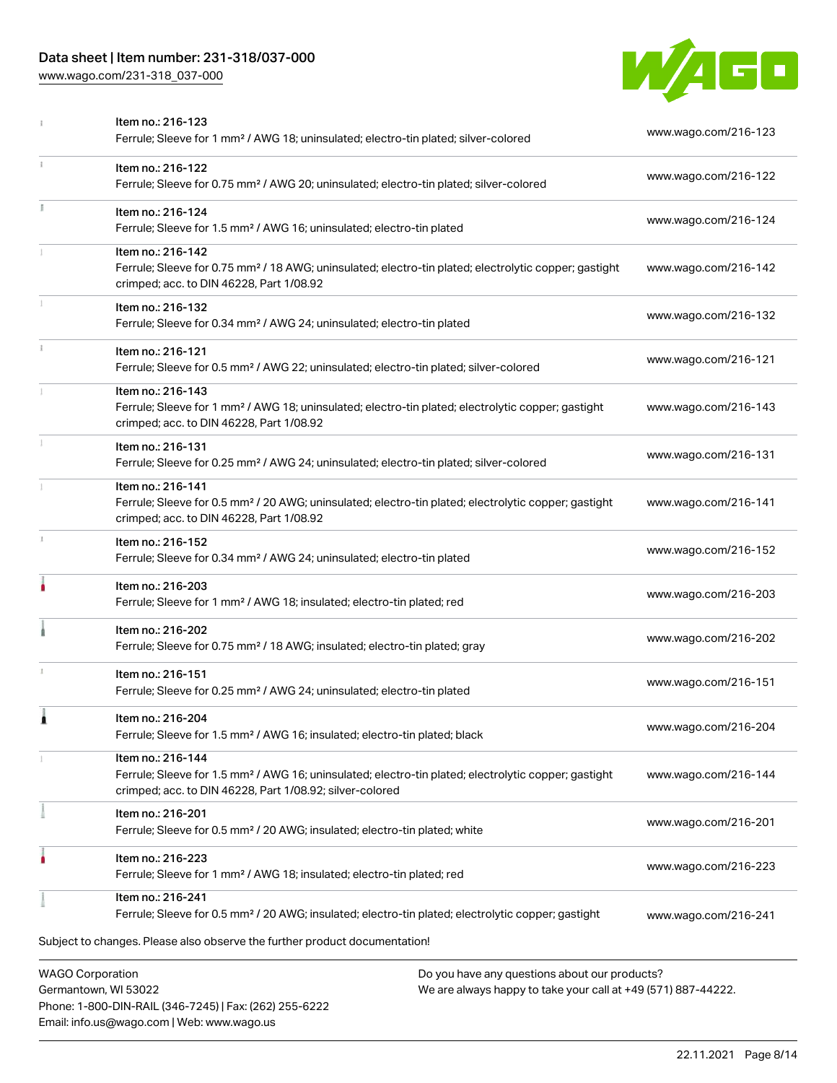## Data sheet | Item number: 231-318/037-000

[www.wago.com/231-318\\_037-000](http://www.wago.com/231-318_037-000)

Email: info.us@wago.com | Web: www.wago.us



|    | Item no.: 216-123<br>Ferrule; Sleeve for 1 mm <sup>2</sup> / AWG 18; uninsulated; electro-tin plated; silver-colored                                                                                                        | www.wago.com/216-123 |
|----|-----------------------------------------------------------------------------------------------------------------------------------------------------------------------------------------------------------------------------|----------------------|
| ī. | Item no.: 216-122<br>Ferrule; Sleeve for 0.75 mm <sup>2</sup> / AWG 20; uninsulated; electro-tin plated; silver-colored                                                                                                     | www.wago.com/216-122 |
|    | Item no.: 216-124<br>Ferrule; Sleeve for 1.5 mm <sup>2</sup> / AWG 16; uninsulated; electro-tin plated                                                                                                                      | www.wago.com/216-124 |
|    | Item no.: 216-142<br>Ferrule; Sleeve for 0.75 mm <sup>2</sup> / 18 AWG; uninsulated; electro-tin plated; electrolytic copper; gastight<br>crimped; acc. to DIN 46228, Part 1/08.92                                          | www.wago.com/216-142 |
|    | Item no.: 216-132<br>Ferrule; Sleeve for 0.34 mm <sup>2</sup> / AWG 24; uninsulated; electro-tin plated                                                                                                                     | www.wago.com/216-132 |
|    | Item no.: 216-121<br>Ferrule; Sleeve for 0.5 mm <sup>2</sup> / AWG 22; uninsulated; electro-tin plated; silver-colored                                                                                                      | www.wago.com/216-121 |
|    | Item no.: 216-143<br>Ferrule; Sleeve for 1 mm <sup>2</sup> / AWG 18; uninsulated; electro-tin plated; electrolytic copper; gastight<br>crimped; acc. to DIN 46228, Part 1/08.92                                             | www.wago.com/216-143 |
|    | Item no.: 216-131<br>Ferrule; Sleeve for 0.25 mm <sup>2</sup> / AWG 24; uninsulated; electro-tin plated; silver-colored                                                                                                     | www.wago.com/216-131 |
|    | Item no.: 216-141<br>Ferrule; Sleeve for 0.5 mm <sup>2</sup> / 20 AWG; uninsulated; electro-tin plated; electrolytic copper; gastight<br>crimped; acc. to DIN 46228, Part 1/08.92                                           | www.wago.com/216-141 |
| J. | Item no.: 216-152<br>Ferrule; Sleeve for 0.34 mm <sup>2</sup> / AWG 24; uninsulated; electro-tin plated                                                                                                                     | www.wago.com/216-152 |
|    | Item no.: 216-203<br>Ferrule; Sleeve for 1 mm <sup>2</sup> / AWG 18; insulated; electro-tin plated; red                                                                                                                     | www.wago.com/216-203 |
|    | Item no.: 216-202<br>Ferrule; Sleeve for 0.75 mm <sup>2</sup> / 18 AWG; insulated; electro-tin plated; gray                                                                                                                 | www.wago.com/216-202 |
|    | Item no.: 216-151<br>Ferrule; Sleeve for 0.25 mm <sup>2</sup> / AWG 24; uninsulated; electro-tin plated                                                                                                                     | www.wago.com/216-151 |
|    | Item no.: 216-204<br>Ferrule; Sleeve for 1.5 mm <sup>2</sup> / AWG 16; insulated; electro-tin plated; black                                                                                                                 | www.wago.com/216-204 |
|    | Item no.: 216-144<br>Ferrule; Sleeve for 1.5 mm <sup>2</sup> / AWG 16; uninsulated; electro-tin plated; electrolytic copper; gastight<br>crimped; acc. to DIN 46228, Part 1/08.92; silver-colored                           | www.wago.com/216-144 |
|    | Item no.: 216-201<br>Ferrule; Sleeve for 0.5 mm <sup>2</sup> / 20 AWG; insulated; electro-tin plated; white                                                                                                                 | www.wago.com/216-201 |
|    | Item no.: 216-223<br>Ferrule; Sleeve for 1 mm <sup>2</sup> / AWG 18; insulated; electro-tin plated; red                                                                                                                     | www.wago.com/216-223 |
|    | Item no.: 216-241<br>Ferrule; Sleeve for 0.5 mm <sup>2</sup> / 20 AWG; insulated; electro-tin plated; electrolytic copper; gastight                                                                                         | www.wago.com/216-241 |
|    | Subject to changes. Please also observe the further product documentation!                                                                                                                                                  |                      |
|    | <b>WAGO Corporation</b><br>Do you have any questions about our products?<br>Germantown, WI 53022<br>We are always happy to take your call at +49 (571) 887-44222.<br>Phone: 1-800-DIN-RAIL (346-7245)   Fax: (262) 255-6222 |                      |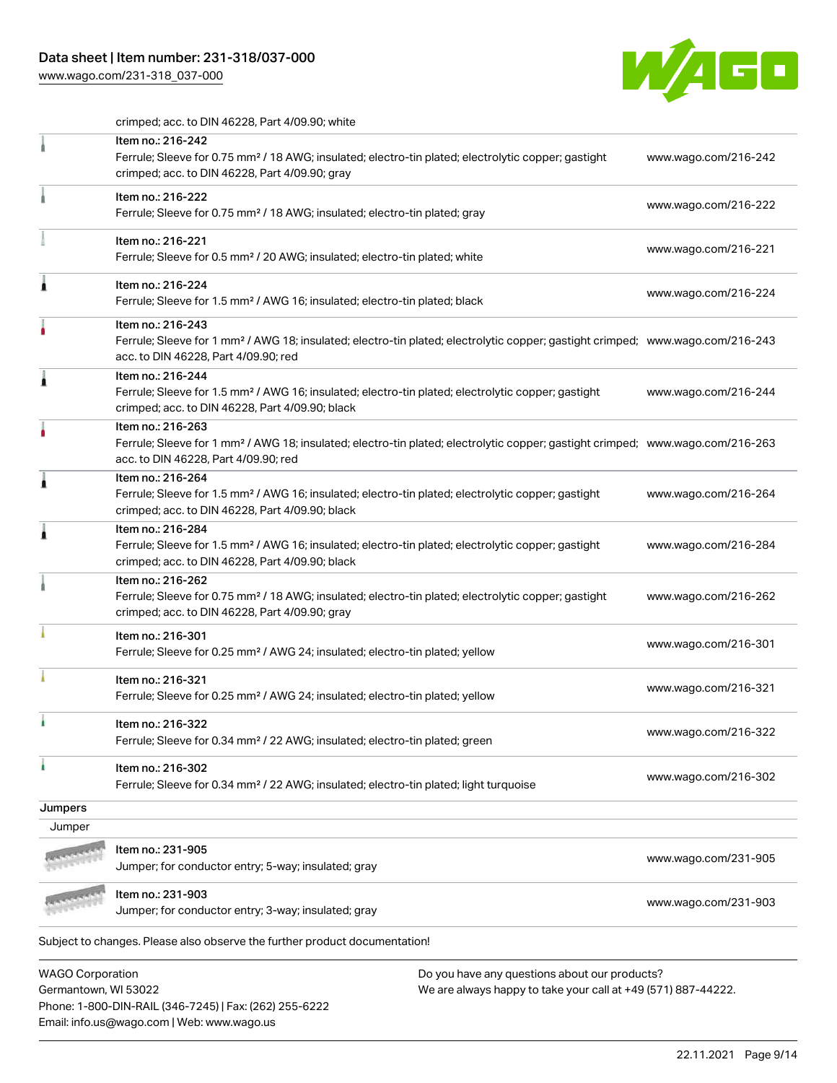### Data sheet | Item number: 231-318/037-000

Phone: 1-800-DIN-RAIL (346-7245) | Fax: (262) 255-6222

Email: info.us@wago.com | Web: www.wago.us

[www.wago.com/231-318\\_037-000](http://www.wago.com/231-318_037-000)



crimped; acc. to DIN 46228, Part 4/09.90; white

|                         | Item no.: 216-242<br>Ferrule; Sleeve for 0.75 mm <sup>2</sup> / 18 AWG; insulated; electro-tin plated; electrolytic copper; gastight<br>crimped; acc. to DIN 46228, Part 4/09.90; gray                  |                                                               | www.wago.com/216-242 |
|-------------------------|---------------------------------------------------------------------------------------------------------------------------------------------------------------------------------------------------------|---------------------------------------------------------------|----------------------|
|                         | Item no.: 216-222<br>Ferrule; Sleeve for 0.75 mm <sup>2</sup> / 18 AWG; insulated; electro-tin plated; gray                                                                                             |                                                               | www.wago.com/216-222 |
|                         | Item no.: 216-221<br>Ferrule; Sleeve for 0.5 mm <sup>2</sup> / 20 AWG; insulated; electro-tin plated; white                                                                                             |                                                               | www.wago.com/216-221 |
|                         | Item no.: 216-224<br>Ferrule; Sleeve for 1.5 mm <sup>2</sup> / AWG 16; insulated; electro-tin plated; black                                                                                             |                                                               | www.wago.com/216-224 |
|                         | Item no.: 216-243<br>Ferrule; Sleeve for 1 mm <sup>2</sup> / AWG 18; insulated; electro-tin plated; electrolytic copper; gastight crimped; www.wago.com/216-243<br>acc. to DIN 46228, Part 4/09.90; red |                                                               |                      |
|                         | Item no.: 216-244<br>Ferrule; Sleeve for 1.5 mm <sup>2</sup> / AWG 16; insulated; electro-tin plated; electrolytic copper; gastight<br>crimped; acc. to DIN 46228, Part 4/09.90; black                  |                                                               | www.wago.com/216-244 |
|                         | Item no.: 216-263<br>Ferrule; Sleeve for 1 mm <sup>2</sup> / AWG 18; insulated; electro-tin plated; electrolytic copper; gastight crimped; www.wago.com/216-263<br>acc. to DIN 46228, Part 4/09.90; red |                                                               |                      |
|                         | Item no.: 216-264<br>Ferrule; Sleeve for 1.5 mm <sup>2</sup> / AWG 16; insulated; electro-tin plated; electrolytic copper; gastight<br>crimped; acc. to DIN 46228, Part 4/09.90; black                  |                                                               | www.wago.com/216-264 |
|                         | Item no.: 216-284<br>Ferrule; Sleeve for 1.5 mm <sup>2</sup> / AWG 16; insulated; electro-tin plated; electrolytic copper; gastight<br>crimped; acc. to DIN 46228, Part 4/09.90; black                  |                                                               | www.wago.com/216-284 |
|                         | Item no.: 216-262<br>Ferrule; Sleeve for 0.75 mm <sup>2</sup> / 18 AWG; insulated; electro-tin plated; electrolytic copper; gastight<br>crimped; acc. to DIN 46228, Part 4/09.90; gray                  |                                                               | www.wago.com/216-262 |
|                         | Item no.: 216-301<br>Ferrule; Sleeve for 0.25 mm <sup>2</sup> / AWG 24; insulated; electro-tin plated; yellow                                                                                           |                                                               | www.wago.com/216-301 |
|                         | Item no.: 216-321<br>Ferrule; Sleeve for 0.25 mm <sup>2</sup> / AWG 24; insulated; electro-tin plated; yellow                                                                                           |                                                               | www.wago.com/216-321 |
|                         | Item no.: 216-322<br>Ferrule; Sleeve for 0.34 mm <sup>2</sup> / 22 AWG; insulated; electro-tin plated; green                                                                                            |                                                               | www.wago.com/216-322 |
|                         | Item no.: 216-302<br>Ferrule; Sleeve for 0.34 mm <sup>2</sup> / 22 AWG; insulated; electro-tin plated; light turquoise                                                                                  |                                                               | www.wago.com/216-302 |
| Jumpers                 |                                                                                                                                                                                                         |                                                               |                      |
| Jumper                  |                                                                                                                                                                                                         |                                                               |                      |
|                         | Item no.: 231-905                                                                                                                                                                                       |                                                               |                      |
|                         | Jumper; for conductor entry; 5-way; insulated; gray                                                                                                                                                     |                                                               | www.wago.com/231-905 |
|                         |                                                                                                                                                                                                         |                                                               |                      |
|                         | Item no.: 231-903<br>Jumper; for conductor entry; 3-way; insulated; gray                                                                                                                                |                                                               | www.wago.com/231-903 |
|                         | Subject to changes. Please also observe the further product documentation!                                                                                                                              |                                                               |                      |
| <b>WAGO Corporation</b> |                                                                                                                                                                                                         | Do you have any questions about our products?                 |                      |
| Germantown, WI 53022    |                                                                                                                                                                                                         | We are always happy to take your call at +49 (571) 887-44222. |                      |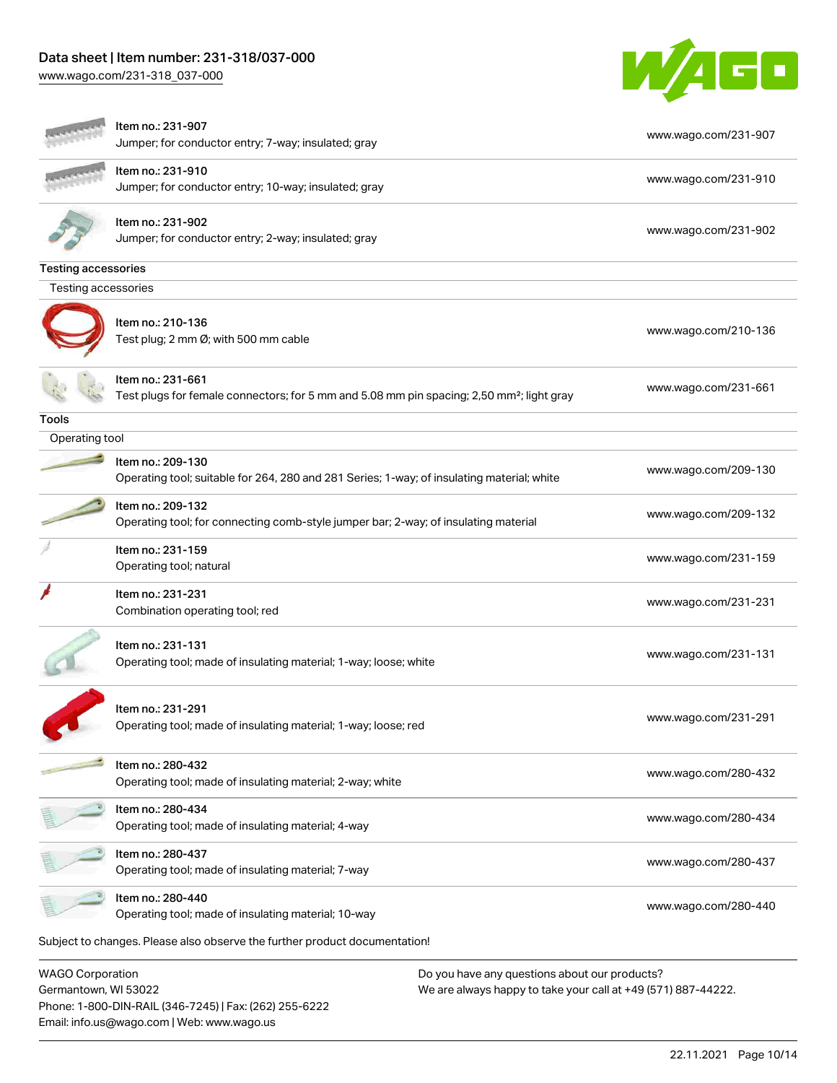# Data sheet | Item number: 231-318/037-000

Email: info.us@wago.com | Web: www.wago.us

[www.wago.com/231-318\\_037-000](http://www.wago.com/231-318_037-000)



|                                                 | Item no.: 231-907<br>Jumper; for conductor entry; 7-way; insulated; gray                                                   | www.wago.com/231-907                                                                                           |
|-------------------------------------------------|----------------------------------------------------------------------------------------------------------------------------|----------------------------------------------------------------------------------------------------------------|
|                                                 | Item no.: 231-910<br>Jumper; for conductor entry; 10-way; insulated; gray                                                  | www.wago.com/231-910                                                                                           |
|                                                 | Item no.: 231-902<br>Jumper; for conductor entry; 2-way; insulated; gray                                                   | www.wago.com/231-902                                                                                           |
| <b>Testing accessories</b>                      |                                                                                                                            |                                                                                                                |
| Testing accessories                             |                                                                                                                            |                                                                                                                |
|                                                 | Item no.: 210-136<br>Test plug; 2 mm Ø; with 500 mm cable                                                                  | www.wago.com/210-136                                                                                           |
|                                                 | ltem no.: 231-661<br>Test plugs for female connectors; for 5 mm and 5.08 mm pin spacing; 2,50 mm <sup>2</sup> ; light gray | www.wago.com/231-661                                                                                           |
| Tools                                           |                                                                                                                            |                                                                                                                |
| Operating tool                                  |                                                                                                                            |                                                                                                                |
|                                                 | Item no.: 209-130<br>Operating tool; suitable for 264, 280 and 281 Series; 1-way; of insulating material; white            | www.wago.com/209-130                                                                                           |
|                                                 | Item no.: 209-132<br>Operating tool; for connecting comb-style jumper bar; 2-way; of insulating material                   | www.wago.com/209-132                                                                                           |
|                                                 | Item no.: 231-159<br>Operating tool; natural                                                                               | www.wago.com/231-159                                                                                           |
|                                                 | Item no.: 231-231<br>Combination operating tool; red                                                                       | www.wago.com/231-231                                                                                           |
|                                                 | Item no.: 231-131<br>Operating tool; made of insulating material; 1-way; loose; white                                      | www.wago.com/231-131                                                                                           |
|                                                 | Item no.: 231-291<br>Operating tool; made of insulating material; 1-way; loose; red                                        | www.wago.com/231-291                                                                                           |
|                                                 | Item no.: 280-432<br>Operating tool; made of insulating material; 2-way; white                                             | www.wago.com/280-432                                                                                           |
|                                                 | Item no.: 280-434<br>Operating tool; made of insulating material; 4-way                                                    | www.wago.com/280-434                                                                                           |
|                                                 | Item no.: 280-437<br>Operating tool; made of insulating material; 7-way                                                    | www.wago.com/280-437                                                                                           |
|                                                 | Item no.: 280-440<br>Operating tool; made of insulating material; 10-way                                                   | www.wago.com/280-440                                                                                           |
|                                                 | Subject to changes. Please also observe the further product documentation!                                                 |                                                                                                                |
| <b>WAGO Corporation</b><br>Germantown, WI 53022 | Phone: 1-800-DIN-RAIL (346-7245)   Fax: (262) 255-6222                                                                     | Do you have any questions about our products?<br>We are always happy to take your call at +49 (571) 887-44222. |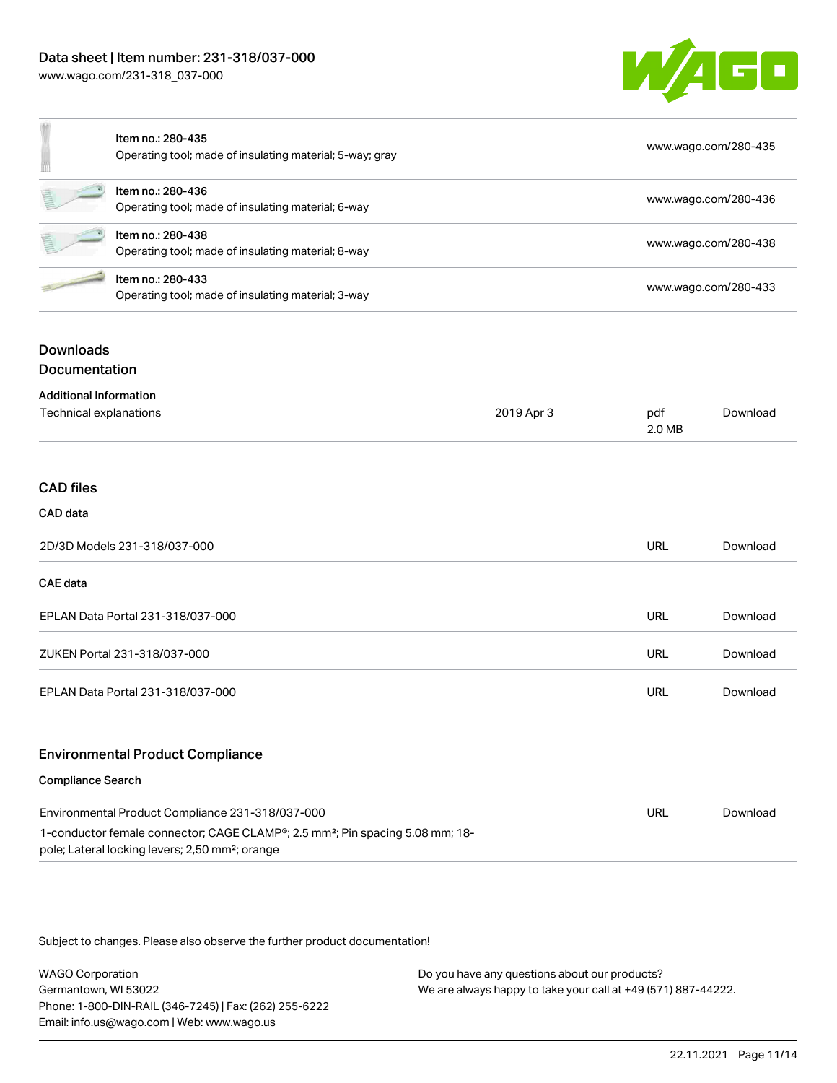

|    | Item no.: 280-435<br>Operating tool; made of insulating material; 5-way; gray | www.wago.com/280-435 |
|----|-------------------------------------------------------------------------------|----------------------|
| 텔  | Item no.: 280-436<br>Operating tool; made of insulating material; 6-way       | www.wago.com/280-436 |
| Ē. | Item no.: 280-438<br>Operating tool; made of insulating material; 8-way       | www.wago.com/280-438 |
|    | Item no.: 280-433<br>Operating tool; made of insulating material; 3-way       | www.wago.com/280-433 |

# **Downloads**

Documentation

| <b>Additional Information</b>           |            |               |          |
|-----------------------------------------|------------|---------------|----------|
| Technical explanations                  | 2019 Apr 3 | pdf<br>2.0 MB | Download |
|                                         |            |               |          |
| <b>CAD files</b>                        |            |               |          |
| CAD data                                |            |               |          |
| 2D/3D Models 231-318/037-000            |            | <b>URL</b>    | Download |
| <b>CAE</b> data                         |            |               |          |
| EPLAN Data Portal 231-318/037-000       |            | <b>URL</b>    | Download |
| ZUKEN Portal 231-318/037-000            |            | <b>URL</b>    | Download |
| EPLAN Data Portal 231-318/037-000       |            | URL           | Download |
| <b>Environmental Product Compliance</b> |            |               |          |
| <b>Compliance Search</b>                |            |               |          |

#### Environmental Product Compliance 231-318/037-000 1-conductor female connector; CAGE CLAMP®; 2.5 mm²; Pin spacing 5.08 mm; 18 pole; Lateral locking levers; 2,50 mm²; orange URL [Download](https://www.wago.com/global/d/ComplianceLinkMediaContainer_231-318_037-000)

Subject to changes. Please also observe the further product documentation!

WAGO Corporation Germantown, WI 53022 Phone: 1-800-DIN-RAIL (346-7245) | Fax: (262) 255-6222 Email: info.us@wago.com | Web: www.wago.us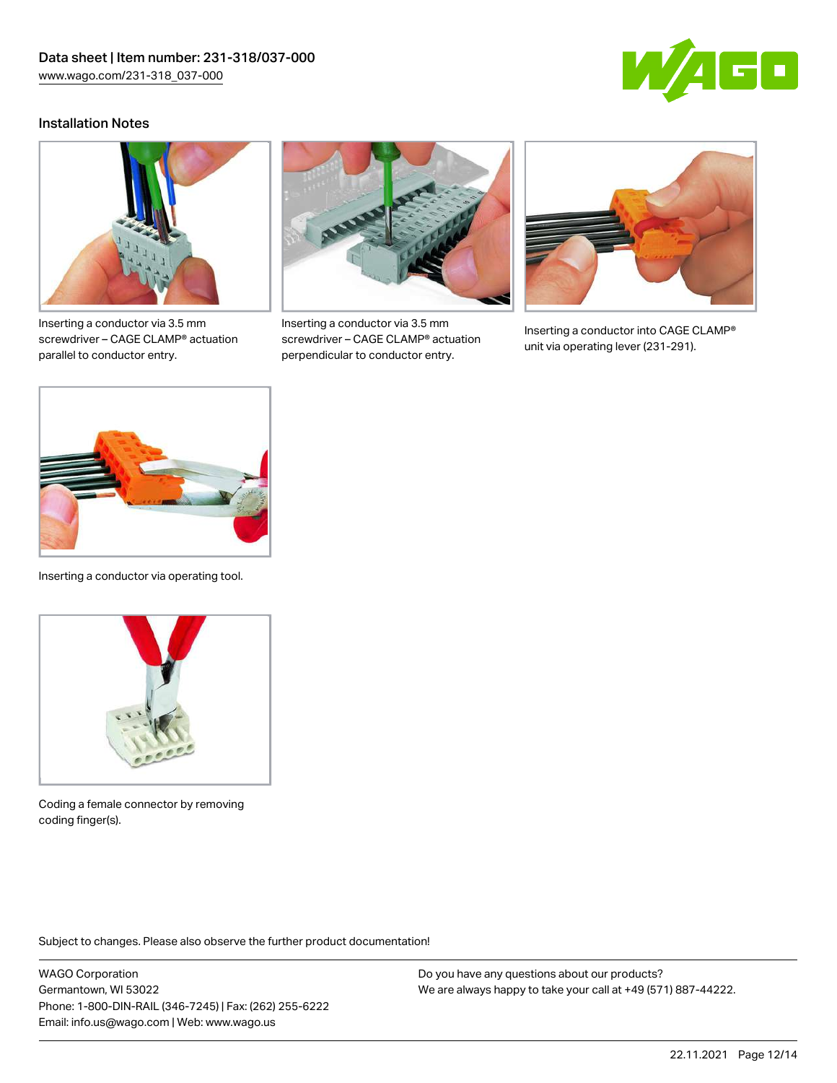

#### Installation Notes



Inserting a conductor via 3.5 mm screwdriver – CAGE CLAMP® actuation parallel to conductor entry.



Inserting a conductor via 3.5 mm screwdriver – CAGE CLAMP® actuation perpendicular to conductor entry.



Inserting a conductor into CAGE CLAMP® unit via operating lever (231-291).



Inserting a conductor via operating tool.



Coding a female connector by removing coding finger(s).

Subject to changes. Please also observe the further product documentation!

WAGO Corporation Germantown, WI 53022 Phone: 1-800-DIN-RAIL (346-7245) | Fax: (262) 255-6222 Email: info.us@wago.com | Web: www.wago.us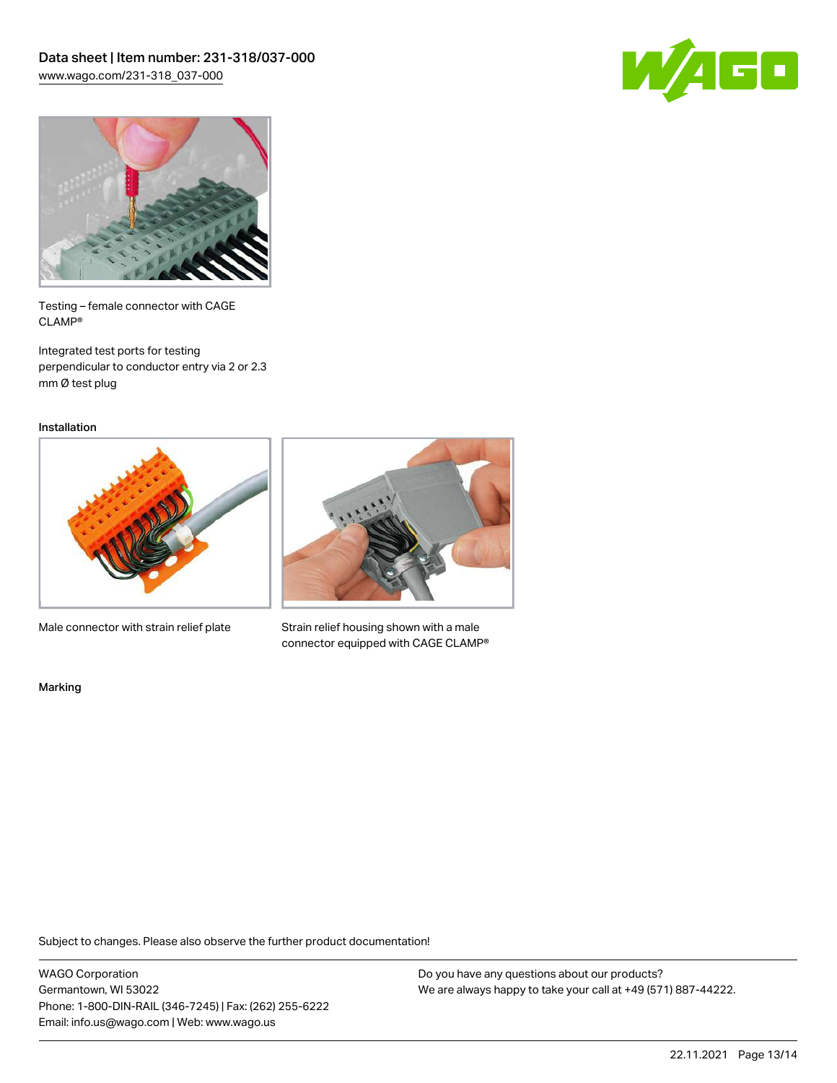



Testing – female connector with CAGE CLAMP®

Integrated test ports for testing perpendicular to conductor entry via 2 or 2.3 mm Ø test plug

Installation



Male connector with strain relief plate



Strain relief housing shown with a male connector equipped with CAGE CLAMP®

Marking

Subject to changes. Please also observe the further product documentation!

WAGO Corporation Germantown, WI 53022 Phone: 1-800-DIN-RAIL (346-7245) | Fax: (262) 255-6222 Email: info.us@wago.com | Web: www.wago.us